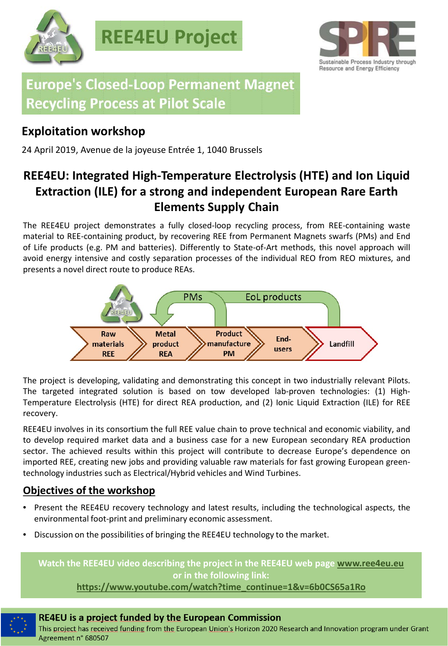



### **Exploitation workshop**

24 April 2019, Avenue de la joyeuse Entrée 1, 1040 Brussels

### **REE4EU: Integrated High-Temperature Electrolysis (HTE) and Ion Liquid Extraction (ILE) for a strong and independent European Rare Earth Elements Supply Chain**

The REE4EU project demonstrates a fully closed-loop recycling process, from REE-containing waste material to REE-containing product, by recovering REE from Permanent Magnets swarfs (PMs) and End of Life products (e.g. PM and batteries). Differently to State-of-Art methods, this novel approach will avoid energy intensive and costly separation processes of the individual REO from REO mixtures, and presents a novel direct route to produce REAs.



The project is developing, validating and demonstrating this concept in two industrially relevant Pilots. The targeted integrated solution is based on tow developed lab-proven technologies: (1) High-Temperature Electrolysis (HTE) for direct REA production, and (2) Ionic Liquid Extraction (ILE) for REE recovery.

REE4EU involves in its consortium the full REE value chain to prove technical and economic viability, and to develop required market data and a business case for a new European secondary REA production sector. The achieved results within this project will contribute to decrease Europe's dependence on imported REE, creating new jobs and providing valuable raw materials for fast growing European greentechnology industries such as Electrical/Hybrid vehicles and Wind Turbines.

#### **Objectives of the workshop**

- Present the REE4EU recovery technology and latest results, including the technological aspects, the environmental foot-print and preliminary economic assessment.
- Discussion on the possibilities of bringing the REE4EU technology to the market.

**Watch the REE4EU video describing the project in the REE4EU web page [www.ree4eu.eu](http://www.ree4eu.eu/) or in the following link:**

**[https://www.youtube.com/watch?time\\_continue=1&v=6b0CS65a1Ro](https://www.youtube.com/watch?time_continue=1&v=6b0CS65a1Ro)**



#### **RE4EU is a project funded by the European Commission**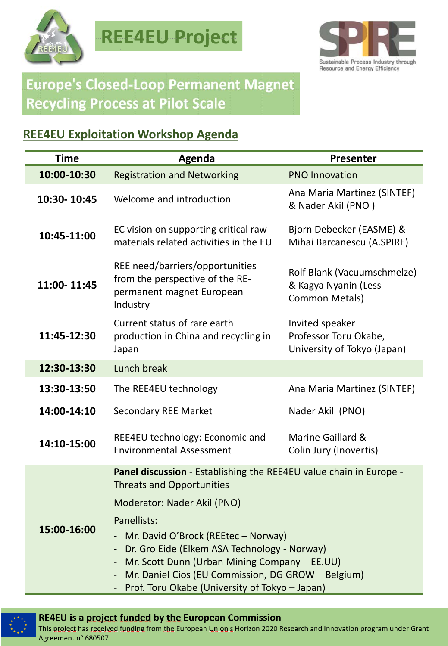

Sustainable Process Industry through Resource and Energy Efficiency

**Europe's Closed-Loop Permanent Magnet Recycling Process at Pilot Scale** 

**REE4EU Project** 

## **REE4EU Exploitation Workshop Agenda**

| <b>Time</b> | Agenda                                                                                                                                                                                                                                                                                                                                                                                               | <b>Presenter</b>                                                             |
|-------------|------------------------------------------------------------------------------------------------------------------------------------------------------------------------------------------------------------------------------------------------------------------------------------------------------------------------------------------------------------------------------------------------------|------------------------------------------------------------------------------|
| 10:00-10:30 | <b>Registration and Networking</b>                                                                                                                                                                                                                                                                                                                                                                   | <b>PNO Innovation</b>                                                        |
| 10:30-10:45 | Welcome and introduction                                                                                                                                                                                                                                                                                                                                                                             | Ana Maria Martinez (SINTEF)<br>& Nader Akil (PNO)                            |
| 10:45-11:00 | EC vision on supporting critical raw<br>materials related activities in the EU                                                                                                                                                                                                                                                                                                                       | Bjorn Debecker (EASME) &<br>Mihai Barcanescu (A.SPIRE)                       |
| 11:00-11:45 | REE need/barriers/opportunities<br>from the perspective of the RE-<br>permanent magnet European<br>Industry                                                                                                                                                                                                                                                                                          | Rolf Blank (Vacuumschmelze)<br>& Kagya Nyanin (Less<br><b>Common Metals)</b> |
| 11:45-12:30 | Current status of rare earth<br>production in China and recycling in<br>Japan                                                                                                                                                                                                                                                                                                                        | Invited speaker<br>Professor Toru Okabe,<br>University of Tokyo (Japan)      |
| 12:30-13:30 | Lunch break                                                                                                                                                                                                                                                                                                                                                                                          |                                                                              |
| 13:30-13:50 | The REE4EU technology                                                                                                                                                                                                                                                                                                                                                                                | Ana Maria Martinez (SINTEF)                                                  |
| 14:00-14:10 | <b>Secondary REE Market</b>                                                                                                                                                                                                                                                                                                                                                                          | Nader Akil (PNO)                                                             |
| 14:10-15:00 | REE4EU technology: Economic and<br><b>Environmental Assessment</b>                                                                                                                                                                                                                                                                                                                                   | Marine Gaillard &<br>Colin Jury (Inovertis)                                  |
| 15:00-16:00 | Panel discussion - Establishing the REE4EU value chain in Europe -<br><b>Threats and Opportunities</b><br>Moderator: Nader Akil (PNO)<br>Panellists:<br>Mr. David O'Brock (REEtec - Norway)<br>Dr. Gro Eide (Elkem ASA Technology - Norway)<br>Mr. Scott Dunn (Urban Mining Company - EE.UU)<br>Mr. Daniel Cios (EU Commission, DG GROW - Belgium)<br>Prof. Toru Okabe (University of Tokyo - Japan) |                                                                              |



#### RE4EU is a project funded by the European Commission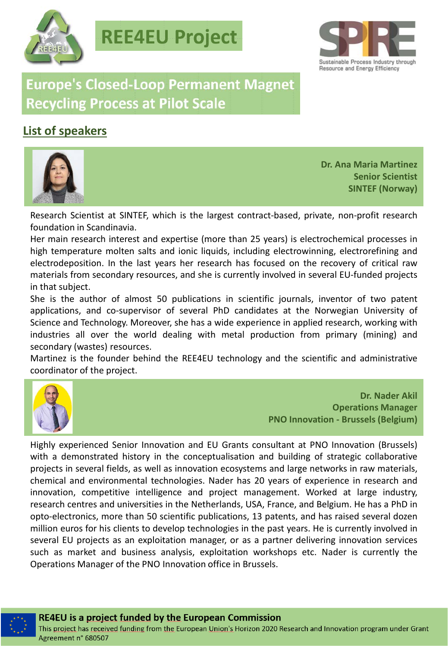



### **List of speakers**



**Dr. Ana Maria Martinez Senior Scientist SINTEF (Norway)**

Research Scientist at SINTEF, which is the largest contract-based, private, non-profit research foundation in Scandinavia.

Her main research interest and expertise (more than 25 years) is electrochemical processes in high temperature molten salts and ionic liquids, including electrowinning, electrorefining and electrodeposition. In the last years her research has focused on the recovery of critical raw materials from secondary resources, and she is currently involved in several EU-funded projects in that subject.

She is the author of almost 50 publications in scientific journals, inventor of two patent applications, and co-supervisor of several PhD candidates at the Norwegian University of Science and Technology. Moreover, she has a wide experience in applied research, working with industries all over the world dealing with metal production from primary (mining) and secondary (wastes) resources.

Martinez is the founder behind the REE4EU technology and the scientific and administrative coordinator of the project.



**Dr. Nader Akil Operations Manager PNO Innovation - Brussels (Belgium)**

Highly experienced Senior Innovation and EU Grants consultant at PNO Innovation (Brussels) with a demonstrated history in the conceptualisation and building of strategic collaborative projects in several fields, as well as innovation ecosystems and large networks in raw materials, chemical and environmental technologies. Nader has 20 years of experience in research and innovation, competitive intelligence and project management. Worked at large industry, research centres and universities in the Netherlands, USA, France, and Belgium. He has a PhD in opto-electronics, more than 50 scientific publications, 13 patents, and has raised several dozen million euros for his clients to develop technologies in the past years. He is currently involved in several EU projects as an exploitation manager, or as a partner delivering innovation services such as market and business analysis, exploitation workshops etc. Nader is currently the Operations Manager of the PNO Innovation office in Brussels.



#### **RE4EU** is a project funded by the European Commission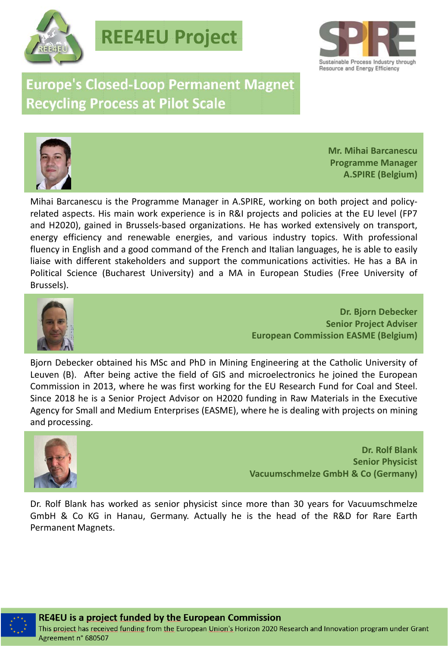

**REE4EU Project** 



**Europe's Closed-Loop Permanent Magnet Recycling Process at Pilot Scale** 



**Mr. Mihai Barcanescu Programme Manager A.SPIRE (Belgium)**

Mihai Barcanescu is the Programme Manager in A.SPIRE, working on both project and policyrelated aspects. His main work experience is in R&I projects and policies at the EU level (FP7 and H2020), gained in Brussels-based organizations. He has worked extensively on transport, energy efficiency and renewable energies, and various industry topics. With professional fluency in English and a good command of the French and Italian languages, he is able to easily liaise with different stakeholders and support the communications activities. He has a BA in Political Science (Bucharest University) and a MA in European Studies (Free University of Brussels).



**Dr. Bjorn Debecker Senior Project Adviser European Commission EASME (Belgium)**

Bjorn Debecker obtained his MSc and PhD in Mining Engineering at the Catholic University of Leuven (B). After being active the field of GIS and microelectronics he joined the European Commission in 2013, where he was first working for the EU Research Fund for Coal and Steel. Since 2018 he is a Senior Project Advisor on H2020 funding in Raw Materials in the Executive Agency for Small and Medium Enterprises (EASME), where he is dealing with projects on mining and processing.



**Dr. Rolf Blank Senior Physicist Vacuumschmelze GmbH & Co (Germany)**

Dr. Rolf Blank has worked as senior physicist since more than 30 years for Vacuumschmelze GmbH & Co KG in Hanau, Germany. Actually he is the head of the R&D for Rare Earth Permanent Magnets.



**RE4EU is a project funded by the European Commission** This project has received funding from the European Union's Horizon 2020 Research and Innovation program under Grant Agreement n° 680507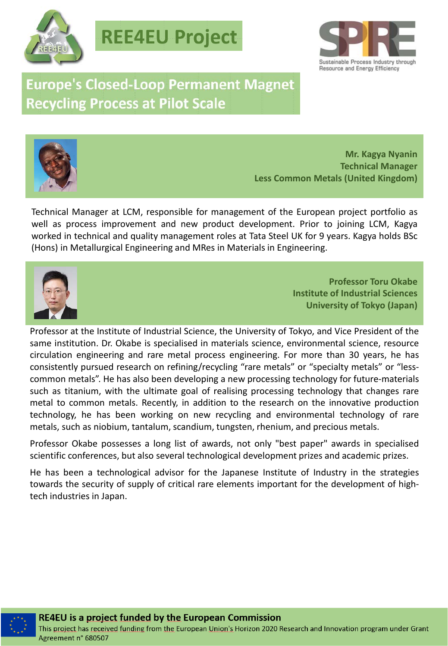





**Mr. Kagya Nyanin Technical Manager Less Common Metals (United Kingdom)**

Technical Manager at LCM, responsible for management of the European project portfolio as well as process improvement and new product development. Prior to joining LCM, Kagya worked in technical and quality management roles at Tata Steel UK for 9 years. Kagya holds BSc (Hons) in Metallurgical Engineering and MRes in Materials in Engineering.



**Professor Toru Okabe Institute of Industrial Sciences University of Tokyo (Japan)**

Professor at the Institute of Industrial Science, the University of Tokyo, and Vice President of the same institution. Dr. Okabe is specialised in materials science, environmental science, resource circulation engineering and rare metal process engineering. For more than 30 years, he has consistently pursued research on refining/recycling "rare metals" or "specialty metals" or "lesscommon metals". He has also been developing a new processing technology for future-materials such as titanium, with the ultimate goal of realising processing technology that changes rare metal to common metals. Recently, in addition to the research on the innovative production technology, he has been working on new recycling and environmental technology of rare metals, such as niobium, tantalum, scandium, tungsten, rhenium, and precious metals.

Professor Okabe possesses a long list of awards, not only "best paper" awards in specialised scientific conferences, but also several technological development prizes and academic prizes.

He has been a technological advisor for the Japanese Institute of Industry in the strategies towards the security of supply of critical rare elements important for the development of hightech industries in Japan.

**RE4EU** is a project funded by the European Commission

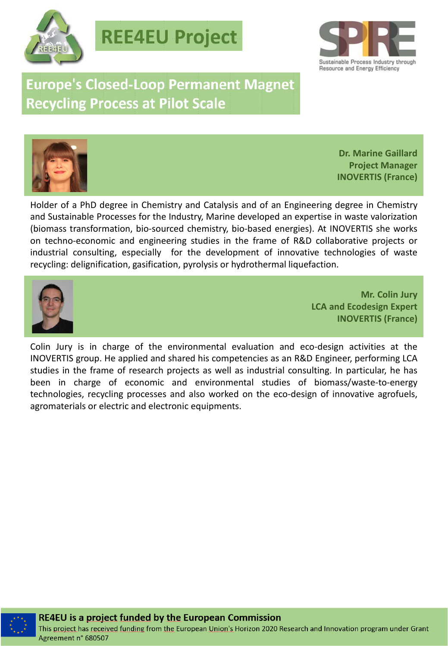

**REE4EU Project** 



**Europe's Closed-Loop Permanent Magnet Recycling Process at Pilot Scale** 



**Dr. Marine Gaillard Project Manager INOVERTIS (France)**

Holder of a PhD degree in Chemistry and Catalysis and of an Engineering degree in Chemistry and Sustainable Processes for the Industry, Marine developed an expertise in waste valorization (biomass transformation, bio-sourced chemistry, bio-based energies). At INOVERTIS she works on techno-economic and engineering studies in the frame of R&D collaborative projects or industrial consulting, especially for the development of innovative technologies of waste recycling: delignification, gasification, pyrolysis or hydrothermal liquefaction.



**Mr. Colin Jury LCA and Ecodesign Expert INOVERTIS (France)**

Colin Jury is in charge of the environmental evaluation and eco-design activities at the INOVERTIS group. He applied and shared his competencies as an R&D Engineer, performing LCA studies in the frame of research projects as well as industrial consulting. In particular, he has been in charge of economic and environmental studies of biomass/waste-to-energy technologies, recycling processes and also worked on the eco-design of innovative agrofuels, agromaterials or electric and electronic equipments.



**RE4EU is a project funded by the European Commission** This project has received funding from the European Union's Horizon 2020 Research and Innovation program under Grant Agreement n° 680507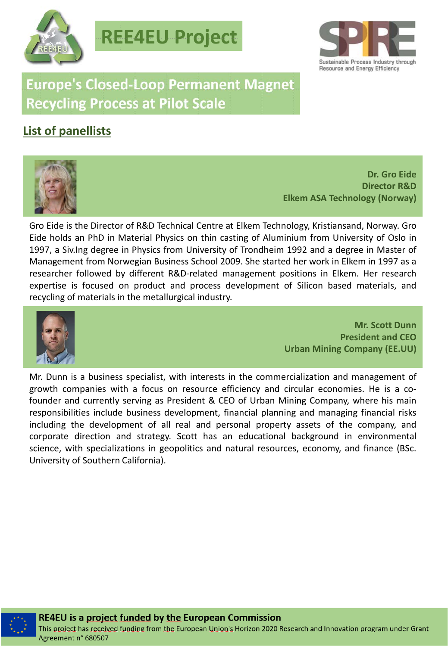



## **List of panellists**



**Dr. Gro Eide Director R&D Elkem ASA Technology (Norway)**

Gro Eide is the Director of R&D Technical Centre at Elkem Technology, Kristiansand, Norway. Gro Eide holds an PhD in Material Physics on thin casting of Aluminium from University of Oslo in 1997, a Siv.Ing degree in Physics from University of Trondheim 1992 and a degree in Master of Management from Norwegian Business School 2009. She started her work in Elkem in 1997 as a researcher followed by different R&D-related management positions in Elkem. Her research expertise is focused on product and process development of Silicon based materials, and recycling of materials in the metallurgical industry.



**Mr. Scott Dunn President and CEO Urban Mining Company (EE.UU)**

Mr. Dunn is a business specialist, with interests in the commercialization and management of growth companies with a focus on resource efficiency and circular economies. He is a cofounder and currently serving as President & CEO of Urban Mining Company, where his main responsibilities include business development, financial planning and managing financial risks including the development of all real and personal property assets of the company, and corporate direction and strategy. Scott has an educational background in environmental science, with specializations in geopolitics and natural resources, economy, and finance (BSc. University of Southern California).

**RE4EU is a project funded by the European Commission**